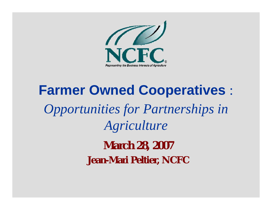

# **Farmer Owned Cooperatives** : *Opportunities for Partnerships in Agriculture* **March 28, 2007 Jean-Mari Peltier, NCFC**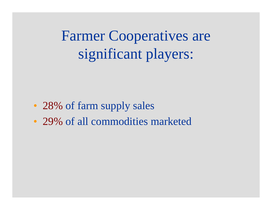Farmer Cooperatives are significant players:

- 28% of farm supply sales
- 29% of all commodities marketed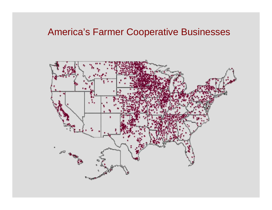#### America's Farmer Cooperative Businesses

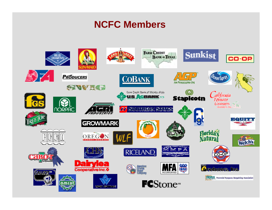#### **NCFC Members**

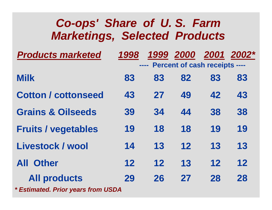| Co-ops' Share of U.S. Farm<br><b>Marketings, Selected Products</b> |             |                   |                                      |    |                      |  |  |  |
|--------------------------------------------------------------------|-------------|-------------------|--------------------------------------|----|----------------------|--|--|--|
| <b>Products marketed</b>                                           | 1998        | <b>STATISTICS</b> | <b>Percent of cash receipts ----</b> |    | 1999 2000 2001 2002* |  |  |  |
| <b>Milk</b>                                                        | 83          | 83                | 82                                   | 83 | 83                   |  |  |  |
| <b>Cotton / cottonseed</b>                                         | 43          | 27                | 49                                   | 42 | 43                   |  |  |  |
| <b>Grains &amp; Oilseeds</b>                                       | 39          | 34                | 44                                   | 38 | 38                   |  |  |  |
| <b>Fruits / vegetables</b>                                         | 19          | 18                | 18                                   | 19 | 19                   |  |  |  |
| Livestock / wool                                                   | 14          | 13                | 12                                   | 13 | 13                   |  |  |  |
| <b>Other</b><br>AII                                                | $12 \ \ 12$ | 12                | 13                                   | 12 | 12                   |  |  |  |
| <b>All products</b>                                                | 29          | 26                | 27                                   | 28 | 28                   |  |  |  |

*\* Estimated. Prior years from USDA*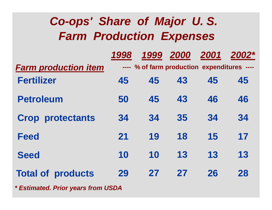### *Co-ops' Share of Major U. S. Farm Production Expenses*

|                             | 1998 | 1999                                        | 2000 | 2001 | 2002* |
|-----------------------------|------|---------------------------------------------|------|------|-------|
| <b>Farm production item</b> |      | ---- % of farm production expenditures ---- |      |      |       |
| <b>Fertilizer</b>           | 45   | 45                                          | 43   | 45   | 45    |
| <b>Petroleum</b>            | 50   | 45                                          | 43   | 46   | 46    |
| <b>Crop protectants</b>     | 34   | 34                                          | 35   | 34   | 34    |
| <b>Feed</b>                 | 21   | 19                                          | 18   | 15   | 17    |
| <b>Seed</b>                 | 10   | 10                                          | 13   | 13   | 13    |
| <b>Total of products</b>    | 29   | 27                                          | 27   | 26   | 28    |
|                             |      |                                             |      |      |       |

*\* Estimated. Prior years from USDA*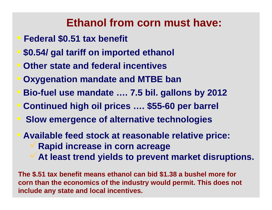### **Ethanol from corn must have:**

- **Federal \$0.51 tax benefit**
- **\$0.54/ gal tariff on imported ethanol**
- **Other state and federal incentives**
- **Oxygenation mandate and MTBE ban**
- **Bio-fuel use mandate …. 7.5 bil. gallons by 2012**
- **Continued high oil prices …. \$55-60 per barrel**
- **Slow emergence of alternative technologies**
- **Available feed stock at reasonable relative price:** <sup>9</sup>**Rapid increase in corn acreage** <sup>9</sup>**At least trend yields to prevent market disruptions.**

**The \$.51 tax benefit means ethanol can bid \$1.38 a bushel more for corn than the economics of the industry would permit. This does not include any state and local incentives.**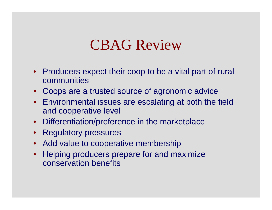# CBAG Review

- Producers expect their coop to be a vital part of rural communities
- Coops are a trusted source of agronomic advice
- Environmental issues are escalating at both the field and cooperative level
- Differentiation/preference in the marketplace
- Regulatory pressures
- Add value to cooperative membership
- Helping producers prepare for and maximize conservation benefits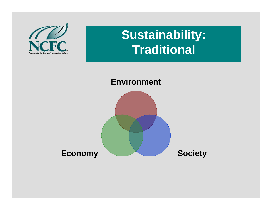

## **Sustainability: Traditional**

#### **Environment**

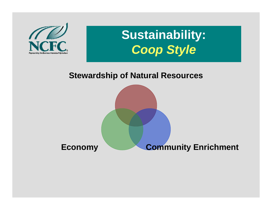

# **Sustainability:** *Coop Style*

#### **Stewardship of Natural Resources**

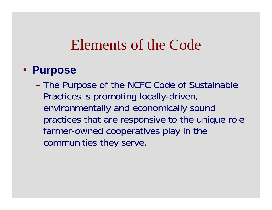## Elements of the Code

#### • **Purpose**

– The Purpose of the NCFC Code of Sustainable Practices is promoting locally-driven, environmentally and economically sound practices that are responsive to the unique role farmer-owned cooperatives play in the communities they serve.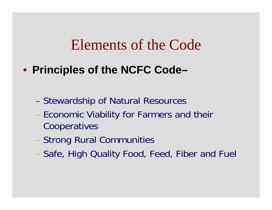## Elements of the Code

• **Principles of the NCFC Code–**

- Stewardship of Natural Resources
- Economic Viability for Farmers and their Cooperatives
- Strong Rural Communities
- Safe, High Quality Food, Feed, Fiber and Fuel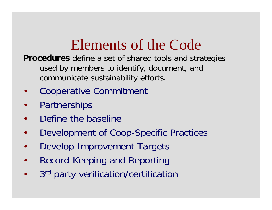# Elements of the Code

**Procedures** define a set of shared tools and strategies used by members to identify, document, and communicate sustainability efforts.

- •Cooperative Commitment
- •**Partnerships**
- •Define the baseline
- •Development of Coop-Specific Practices
- •Develop Improvement Targets
- •Record-Keeping and Reporting
- •3<sup>rd</sup> party verification/certification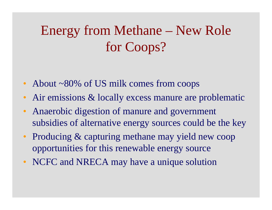# Energy from Methane – New Role for Coops?

- About ~80% of US milk comes from coops
- Air emissions & locally excess manure are problematic
- Anaerobic digestion of manure and government subsidies of alternative energy sources could be the key
- Producing & capturing methane may yield new coop opportunities for this renewable energy source
- NCFC and NRECA may have a unique solution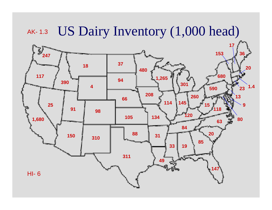#### AK- 1.3US Dairy Inventory (1,000 head)

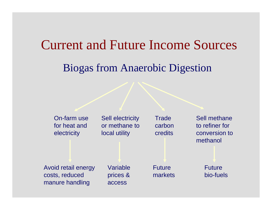### Current and Future Income Sources

### Biogas from Anaerobic Digestion

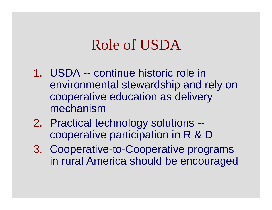# Role of USDA

- 1. USDA -- continue historic role in environmental stewardship and rely on cooperative education as delivery mechanism
- 2. Practical technology solutions cooperative participation in R & D
- 3. Cooperative-to-Cooperative programs in rural America should be encouraged